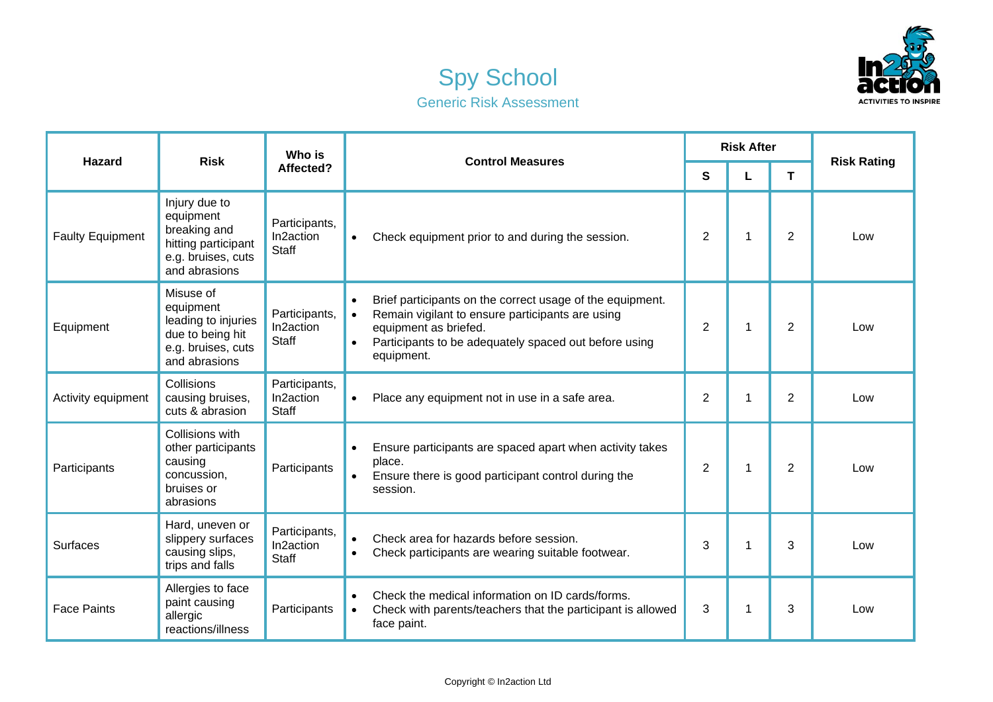



| <b>Hazard</b>           | <b>Risk</b>                                                                                              | Who is<br>Affected?                        | <b>Control Measures</b>                                                                                                                                                                                                                              | <b>Risk After</b> |   |                |                    |
|-------------------------|----------------------------------------------------------------------------------------------------------|--------------------------------------------|------------------------------------------------------------------------------------------------------------------------------------------------------------------------------------------------------------------------------------------------------|-------------------|---|----------------|--------------------|
|                         |                                                                                                          |                                            |                                                                                                                                                                                                                                                      | $\mathbf{s}$      | L | T              | <b>Risk Rating</b> |
| <b>Faulty Equipment</b> | Injury due to<br>equipment<br>breaking and<br>hitting participant<br>e.g. bruises, cuts<br>and abrasions | Participants,<br>In2action<br><b>Staff</b> | Check equipment prior to and during the session.<br>$\bullet$                                                                                                                                                                                        | $\overline{2}$    | 1 | $\overline{2}$ | Low                |
| Equipment               | Misuse of<br>equipment<br>leading to injuries<br>due to being hit<br>e.g. bruises, cuts<br>and abrasions | Participants,<br>In2action<br><b>Staff</b> | Brief participants on the correct usage of the equipment.<br>$\bullet$<br>Remain vigilant to ensure participants are using<br>$\bullet$<br>equipment as briefed.<br>Participants to be adequately spaced out before using<br>$\bullet$<br>equipment. | $\overline{2}$    | 1 | $\overline{2}$ | Low                |
| Activity equipment      | Collisions<br>causing bruises,<br>cuts & abrasion                                                        | Participants,<br>In2action<br>Staff        | Place any equipment not in use in a safe area.<br>$\bullet$                                                                                                                                                                                          | $\overline{2}$    | 1 | $\overline{2}$ | Low                |
| Participants            | Collisions with<br>other participants<br>causing<br>concussion,<br>bruises or<br>abrasions               | Participants                               | Ensure participants are spaced apart when activity takes<br>place.<br>Ensure there is good participant control during the<br>$\bullet$<br>session.                                                                                                   | $\overline{2}$    | 1 | $\overline{2}$ | Low                |
| Surfaces                | Hard, uneven or<br>slippery surfaces<br>causing slips,<br>trips and falls                                | Participants,<br>In2action<br><b>Staff</b> | Check area for hazards before session.<br>$\bullet$<br>Check participants are wearing suitable footwear.<br>$\bullet$                                                                                                                                | 3                 | 1 | 3              | Low                |
| <b>Face Paints</b>      | Allergies to face<br>paint causing<br>allergic<br>reactions/illness                                      | Participants                               | Check the medical information on ID cards/forms.<br>$\bullet$<br>Check with parents/teachers that the participant is allowed<br>$\bullet$<br>face paint.                                                                                             | 3                 | 1 | 3              | Low                |